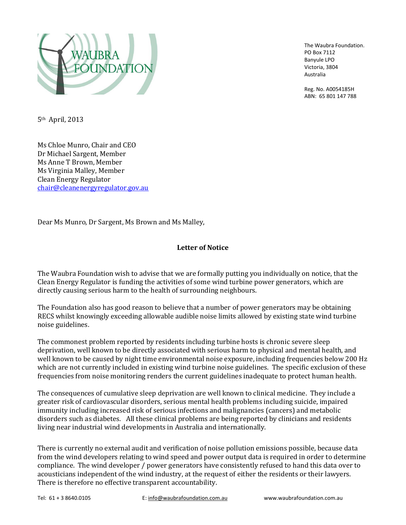

The Waubra Foundation. PO Box 7112 Banyule LPO Victoria, 3804 Australia

Reg. No. A0054185H ABN: 65 801 147 788

5th April, 2013

Ms Chloe Munro, Chair and CEO Dr Michael Sargent, Member Ms Anne T Brown, Member Ms Virginia Malley, Member Clean Energy Regulator [chair@cleanenergyregulator.gov.au](mailto:chair@cleanenergyregulator.gov.au)

Dear Ms Munro, Dr Sargent, Ms Brown and Ms Malley,

### **Letter of Notice**

The Waubra Foundation wish to advise that we are formally putting you individually on notice, that the Clean Energy Regulator is funding the activities of some wind turbine power generators, which are directly causing serious harm to the health of surrounding neighbours.

The Foundation also has good reason to believe that a number of power generators may be obtaining RECS whilst knowingly exceeding allowable audible noise limits allowed by existing state wind turbine noise guidelines.

The commonest problem reported by residents including turbine hosts is chronic severe sleep deprivation, well known to be directly associated with serious harm to physical and mental health, and well known to be caused by night time environmental noise exposure, including frequencies below 200 Hz which are not currently included in existing wind turbine noise guidelines. The specific exclusion of these frequencies from noise monitoring renders the current guidelines inadequate to protect human health.

The consequences of cumulative sleep deprivation are well known to clinical medicine. They include a greater risk of cardiovascular disorders, serious mental health problems including suicide, impaired immunity including increased risk of serious infections and malignancies (cancers) and metabolic disorders such as diabetes. All these clinical problems are being reported by clinicians and residents living near industrial wind developments in Australia and internationally.

There is currently no external audit and verification of noise pollution emissions possible, because data from the wind developers relating to wind speed and power output data is required in order to determine compliance. The wind developer / power generators have consistently refused to hand this data over to acousticians independent of the wind industry, at the request of either the residents or their lawyers. There is therefore no effective transparent accountability.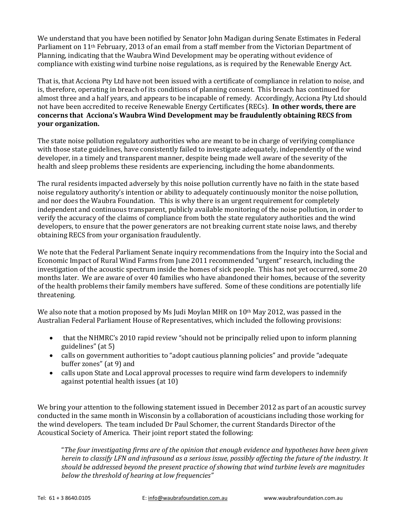We understand that you have been notified by Senator John Madigan during Senate Estimates in Federal Parliament on 11th February, 2013 of an email from a staff member from the Victorian Department of Planning, indicating that the Waubra Wind Development may be operating without evidence of compliance with existing wind turbine noise regulations, as is required by the Renewable Energy Act.

That is, that Acciona Pty Ltd have not been issued with a certificate of compliance in relation to noise, and is, therefore, operating in breach of its conditions of planning consent. This breach has continued for almost three and a half years, and appears to be incapable of remedy. Accordingly, Acciona Pty Ltd should not have been accredited to receive Renewable Energy Certificates (RECs). **In other words, there are concerns that Acciona's Waubra Wind Development may be fraudulently obtaining RECS from your organization.**

The state noise pollution regulatory authorities who are meant to be in charge of verifying compliance with those state guidelines, have consistently failed to investigate adequately, independently of the wind developer, in a timely and transparent manner, despite being made well aware of the severity of the health and sleep problems these residents are experiencing, including the home abandonments.

The rural residents impacted adversely by this noise pollution currently have no faith in the state based noise regulatory authority's intention or ability to adequately continuously monitor the noise pollution, and nor does the Waubra Foundation. This is why there is an urgent requirement for completely independent and continuous transparent, publicly available monitoring of the noise pollution, in order to verify the accuracy of the claims of compliance from both the state regulatory authorities and the wind developers, to ensure that the power generators are not breaking current state noise laws, and thereby obtaining RECS from your organisation fraudulently.

We note that the Federal Parliament Senate inquiry recommendations from the Inquiry into the Social and Economic Impact of Rural Wind Farms from June 2011 recommended "urgent" research, including the investigation of the acoustic spectrum inside the homes of sick people. This has not yet occurred, some 20 months later. We are aware of over 40 families who have abandoned their homes, because of the severity of the health problems their family members have suffered. Some of these conditions are potentially life threatening.

We also note that a motion proposed by Ms Judi Moylan MHR on  $10<sup>th</sup>$  May 2012, was passed in the Australian Federal Parliament House of Representatives, which included the following provisions:

- that the NHMRC's 2010 rapid review "should not be principally relied upon to inform planning guidelines" (at 5)
- calls on government authorities to "adopt cautious planning policies" and provide "adequate buffer zones" (at 9) and
- calls upon State and Local approval processes to require wind farm developers to indemnify against potential health issues (at 10)

We bring your attention to the following statement issued in December 2012 as part of an acoustic survey conducted in the same month in Wisconsin by a collaboration of acousticians including those working for the wind developers. The team included Dr Paul Schomer, the current Standards Director of the Acoustical Society of America. Their joint report stated the following:

"*The four investigating firms are of the opinion that enough evidence and hypotheses have been given herein to classify LFN and infrasound as a serious issue, possibly affecting the future of the industry. It should be addressed beyond the present practice of showing that wind turbine levels are magnitudes below the threshold of hearing at low frequencies"*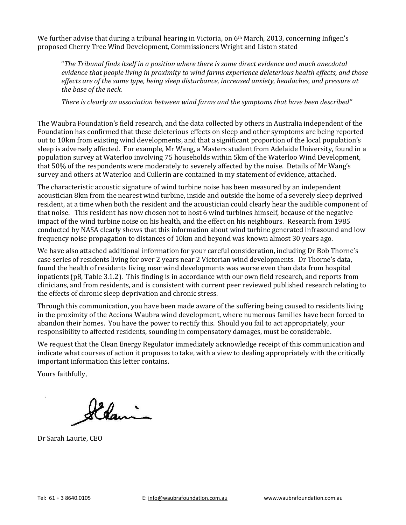We further advise that during a tribunal hearing in Victoria, on 6<sup>th</sup> March, 2013, concerning Infigen's proposed Cherry Tree Wind Development, Commissioners Wright and Liston stated

"*The Tribunal finds itself in a position where there is some direct evidence and much anecdotal evidence that people living in proximity to wind farms experience deleterious health effects, and those effects are of the same type, being sleep disturbance, increased anxiety, headaches, and pressure at the base of the neck.*

*There is clearly an association between wind farms and the symptoms that have been described"*

The Waubra Foundation's field research, and the data collected by others in Australia independent of the Foundation has confirmed that these deleterious effects on sleep and other symptoms are being reported out to 10km from existing wind developments, and that a significant proportion of the local population's sleep is adversely affected. For example, Mr Wang, a Masters student from Adelaide University, found in a population survey at Waterloo involving 75 households within 5km of the Waterloo Wind Development, that 50% of the respondents were moderately to severely affected by the noise. Details of Mr Wang's survey and others at Waterloo and Cullerin are contained in my statement of evidence, attached.

The characteristic acoustic signature of wind turbine noise has been measured by an independent acoustician 8km from the nearest wind turbine, inside and outside the home of a severely sleep deprived resident, at a time when both the resident and the acoustician could clearly hear the audible component of that noise. This resident has now chosen not to host 6 wind turbines himself, because of the negative impact of the wind turbine noise on his health, and the effect on his neighbours. Research from 1985 conducted by NASA clearly shows that this information about wind turbine generated infrasound and low frequency noise propagation to distances of 10km and beyond was known almost 30 years ago.

We have also attached additional information for your careful consideration, including Dr Bob Thorne's case series of residents living for over 2 years near 2 Victorian wind developments. Dr Thorne's data, found the health of residents living near wind developments was worse even than data from hospital inpatients (p8, Table 3.1.2). This finding is in accordance with our own field research, and reports from clinicians, and from residents, and is consistent with current peer reviewed published research relating to the effects of chronic sleep deprivation and chronic stress.

Through this communication, you have been made aware of the suffering being caused to residents living in the proximity of the Acciona Waubra wind development, where numerous families have been forced to abandon their homes. You have the power to rectify this. Should you fail to act appropriately, your responsibility to affected residents, sounding in compensatory damages, must be considerable.

We request that the Clean Energy Regulator immediately acknowledge receipt of this communication and indicate what courses of action it proposes to take, with a view to dealing appropriately with the critically important information this letter contains.

Yours faithfully,

Elamin

Dr Sarah Laurie, CEO